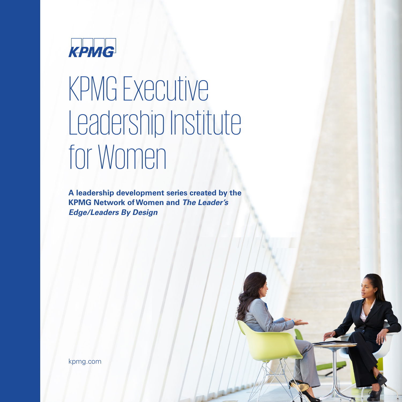

# KPMG Executive Leadership Institute for Women

**A leadership development series created by the KPMG Network of Women and The Leader's Edge/Leaders By Design**

kpmg.com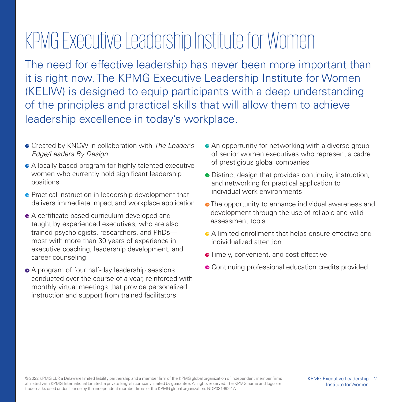# KPMG Executive Leadership Institute for Women

The need for effective leadership has never been more important than it is right now. The KPMG Executive Leadership Institute for Women (KELIW) is designed to equip participants with a deep understanding of the principles and practical skills that will allow them to achieve leadership excellence in today's workplace.

- **Created by KNOW in collaboration with The Leader's** Edge/Leaders By Design
- A locally based program for highly talented executive women who currently hold significant leadership positions
- **•** Practical instruction in leadership development that delivers immediate impact and workplace application
- A certificate-based curriculum developed and taught by experienced executives, who are also trained psychologists, researchers, and PhDs most with more than 30 years of experience in executive coaching, leadership development, and career counseling
- A program of four half-day leadership sessions conducted over the course of a year, reinforced with monthly virtual meetings that provide personalized instruction and support from trained facilitators
- **An opportunity for networking with a diverse group** of senior women executives who represent a cadre of prestigious global companies
- **•** Distinct design that provides continuity, instruction, and networking for practical application to individual work environments
- **•** The opportunity to enhance individual awareness and development through the use of reliable and valid assessment tools
- A limited enrollment that helps ensure effective and individualized attention
- **•** Timely, convenient, and cost effective
- **Continuing professional education credits provided**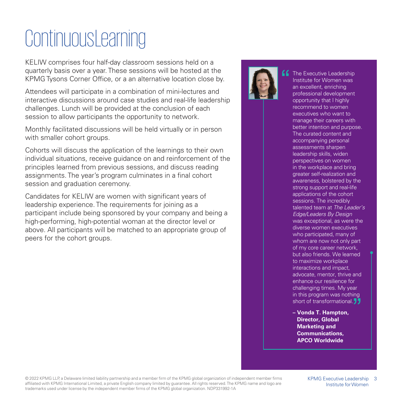# **Continuous Learning**

KELIW comprises four half-day classroom sessions held on a quarterly basis over a year. These sessions will be hosted at the KPMG Tysons Corner Office, or a an alternative location close by.

Attendees will participate in a combination of mini-lectures and interactive discussions around case studies and real-life leadership challenges. Lunch will be provided at the conclusion of each session to allow participants the opportunity to network.

Monthly facilitated discussions will be held virtually or in person with smaller cohort groups.

Cohorts will discuss the application of the learnings to their own individual situations, receive guidance on and reinforcement of the principles learned from previous sessions, and discuss reading assignments. The year's program culminates in a final cohort session and graduation ceremony.

Candidates for KELIW are women with significant years of leadership experience. The requirements for joining as a participant include being sponsored by your company and being a high-performing, high-potential woman at the director level or above. All participants will be matched to an appropriate group of peers for the cohort groups.



The Executive Leadership Institute for Women was an excellent, enriching professional development opportunity that I highly recommend to women executives who want to manage their careers with better intention and purpose. The curated content and accompanying personal assessments sharpen leadership skills, widen perspectives on women in the workplace and bring greater self-realization and awareness, bolstered by the strong support and real-life applications of the cohort sessions. The incredibly talented team at The Leader's Edge/Leaders By Design was exceptional, as were the diverse women executives who participated, many of whom are now not only part of my core career network, but also friends. We learned to maximize workplace interactions and impact, advocate, mentor, thrive and enhance our resilience for challenging times. My year in this program was nothing short of transformational.<sup>1</sup>

**– Vonda T. Hampton, Director, Global Marketing and Communications, APCO Worldwide**

© 2022 KPMG LLP, a Delaware limited liability partnership and a member firm of the KPMG global organization of independent member firms 3 affiliated with KPMG International Limited, a private English company limited by guarantee. All rights reserved. The KPMG name and logo are trademarks used under license by the independent member firms of the KPMG global organization. NDP331992-1A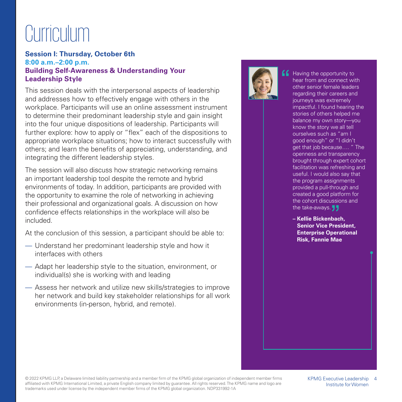### **Curriculum**

### **Session I: Thursday, October 6th 8:00 a.m.–2:00 p.m. Building Self-Awareness & Understanding Your Leadership Style**

This session deals with the interpersonal aspects of leadership and addresses how to effectively engage with others in the workplace. Participants will use an online assessment instrument to determine their predominant leadership style and gain insight into the four unique dispositions of leadership. Participants will further explore: how to apply or "flex" each of the dispositions to appropriate workplace situations; how to interact successfully with others; and learn the benefits of appreciating, understanding, and integrating the different leadership styles.

The session will also discuss how strategic networking remains an important leadership tool despite the remote and hybrid environments of today. In addition, participants are provided with the opportunity to examine the role of networking in achieving their professional and organizational goals. A discussion on how confidence effects relationships in the workplace will also be included.

At the conclusion of this session, a participant should be able to:

- Understand her predominant leadership style and how it interfaces with others
- Adapt her leadership style to the situation, environment, or individual(s) she is working with and leading
- Assess her network and utilize new skills/strategies to improve her network and build key stakeholder relationships for all work environments (in-person, hybrid, and remote).



Having the opportunity to hear from and connect with other senior female leaders regarding their careers and journeys was extremely impactful. I found hearing the stories of others helped me balance my own story—you know the story we all tell ourselves such as "am I good enough" or "I didn't get that job because…. " The openness and transparency brought through expert cohort facilitation was refreshing and useful. I would also say that the program assignments provided a pull-through and created a good platform for the cohort discussions and the take-aways. **J** 

**– Kellie Bickenbach, Senior Vice President, Enterprise Operational Risk, Fannie Mae**

© 2022 KPMG LLP, a Delaware limited liability partnership and a member firm of the KPMG global organization of independent member firms 4 affiliated with KPMG International Limited, a private English company limited by guarantee. All rights reserved. The KPMG name and logo are trademarks used under license by the independent member firms of the KPMG global organization. NDP331992-1A

KPMG Executive Leadership Institute for Women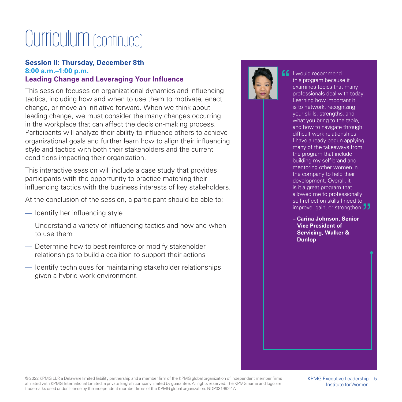### Curriculum (continued)

### **Session II: Thursday, December 8th 8:00 a.m.–1:00 p.m. Leading Change and Leveraging Your Influence**

This session focuses on organizational dynamics and influencing tactics, including how and when to use them to motivate, enact change, or move an initiative forward. When we think about leading change, we must consider the many changes occurring in the workplace that can affect the decision-making process. Participants will analyze their ability to influence others to achieve organizational goals and further learn how to align their influencing style and tactics with both their stakeholders and the current conditions impacting their organization.

This interactive session will include a case study that provides participants with the opportunity to practice matching their influencing tactics with the business interests of key stakeholders.

At the conclusion of the session, a participant should be able to:

- Identify her influencing style
- Understand a variety of influencing tactics and how and when to use them
- Determine how to best reinforce or modify stakeholder relationships to build a coalition to support their actions
- Identify techniques for maintaining stakeholder relationships given a hybrid work environment.



**I** I would recommend this program because it examines topics that many professionals deal with today. Learning how important it is to network, recognizing your skills, strengths, and what you bring to the table. and how to navigate through difficult work relationships. I have already begun applying many of the takeaways from the program that include building my self-brand and mentoring other women in the company to help their development. Overall, it is it a great program that allowed me to professionally self-reflect on skills I need to improve, gain, or strengthen. **J** 

> **– Carina Johnson, Senior Vice President of Servicing, Walker & Dunlop**

© 2022 KPMG LLP, a Delaware limited liability partnership and a member firm of the KPMG global organization of independent member firms 5 affiliated with KPMG International Limited, a private English company limited by guarantee. All rights reserved. The KPMG name and logo are trademarks used under license by the independent member firms of the KPMG global organization. NDP331992-1A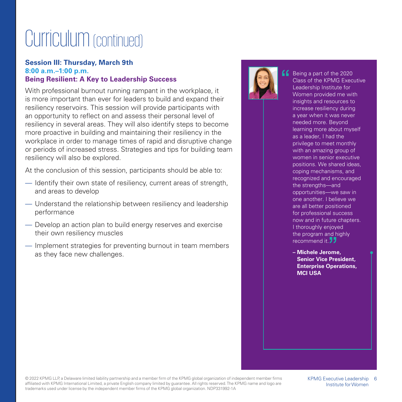### Curriculum (continued)

### **Session III: Thursday, March 9th 8:00 a.m.–1:00 p.m. Being Resilient: A Key to Leadership Success**

With professional burnout running rampant in the workplace, it is more important than ever for leaders to build and expand their resiliency reservoirs. This session will provide participants with an opportunity to reflect on and assess their personal level of resiliency in several areas. They will also identify steps to become more proactive in building and maintaining their resiliency in the workplace in order to manage times of rapid and disruptive change or periods of increased stress. Strategies and tips for building team resiliency will also be explored.

At the conclusion of this session, participants should be able to:

- Identify their own state of resiliency, current areas of strength, and areas to develop
- Understand the relationship between resiliency and leadership performance
- Develop an action plan to build energy reserves and exercise their own resiliency muscles
- Implement strategies for preventing burnout in team members as they face new challenges.



Being a part of the 2020 Class of the KPMG Executive Leadership Institute for Women provided me with insights and resources to increase resiliency during a year when it was never needed more. Beyond learning more about myself as a leader, I had the privilege to meet monthly with an amazing group of women in senior executive positions. We shared ideas, coping mechanisms, and recognized and encouraged the strengths—and opportunities—we saw in one another. I believe we are all better positioned for professional success now and in future chapters. I thoroughly enjoyed the program and highly recommend it 77

**– Michele Jerome, Senior Vice President, Enterprise Operations, MCI USA**

© 2022 KPMG LLP, a Delaware limited liability partnership and a member firm of the KPMG global organization of independent member firms 6 affiliated with KPMG International Limited, a private English company limited by guarantee. All rights reserved. The KPMG name and logo are trademarks used under license by the independent member firms of the KPMG global organization. NDP331992-1A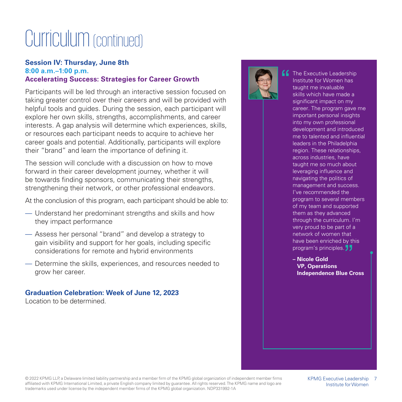### Curriculum (continued)

### **Session IV: Thursday, June 8th 8:00 a.m.–1:00 p.m. Accelerating Success: Strategies for Career Growth**

Participants will be led through an interactive session focused on taking greater control over their careers and will be provided with helpful tools and guides. During the session, each participant will explore her own skills, strengths, accomplishments, and career interests. A gap analysis will determine which experiences, skills, or resources each participant needs to acquire to achieve her career goals and potential. Additionally, participants will explore their "brand" and learn the importance of defining it.

The session will conclude with a discussion on how to move forward in their career development journey, whether it will be towards finding sponsors, communicating their strengths, strengthening their network, or other professional endeavors.

At the conclusion of this program, each participant should be able to:

- Understand her predominant strengths and skills and how they impact performance
- Assess her personal "brand" and develop a strategy to gain visibility and support for her goals, including specific considerations for remote and hybrid environments
- Determine the skills, experiences, and resources needed to grow her career.

#### **Graduation Celebration: Week of June 12, 2023** Location to be determined.



 $\blacksquare$  The Executive Leadership Institute for Women has taught me invaluable skills which have made a significant impact on my career. The program gave me important personal insights into my own professional development and introduced me to talented and influential leaders in the Philadelphia region. These relationships, across industries, have taught me so much about leveraging influence and navigating the politics of management and success. I've recommended the program to several members of my team and supported them as they advanced through the curriculum. I'm very proud to be part of a network of women that have been enriched by this program's principles.

> **– Nicole Gold VP, Operations Independence Blue Cross**

© 2022 KPMG LLP, a Delaware limited liability partnership and a member firm of the KPMG global organization of independent member firms affiliated with KPMG International Limited, a private English company limited by guarantee. All rights reserved. The KPMG name and logo are trademarks used under license by the independent member firms of the KPMG global organization. NDP331992-1A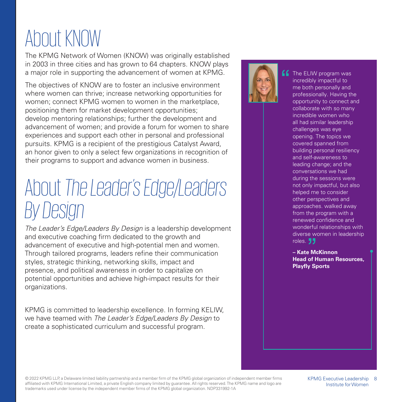# About KNOW

The KPMG Network of Women (KNOW) was originally established in 2003 in three cities and has grown to 64 chapters. KNOW plays a major role in supporting the advancement of women at KPMG.

The objectives of KNOW are to foster an inclusive environment where women can thrive; increase networking opportunities for women; connect KPMG women to women in the marketplace, positioning them for market development opportunities; develop mentoring relationships; further the development and advancement of women; and provide a forum for women to share experiences and support each other in personal and professional pursuits. KPMG is a recipient of the prestigious Catalyst Award, an honor given to only a select few organizations in recognition of their programs to support and advance women in business.

### About *The Leader's Edge/Leaders By Design*

The Leader's Edge/Leaders By Design is a leadership development and executive coaching firm dedicated to the growth and advancement of executive and high-potential men and women. Through tailored programs, leaders refine their communication styles, strategic thinking, networking skills, impact and presence, and political awareness in order to capitalize on potential opportunities and achieve high-impact results for their organizations.

KPMG is committed to leadership excellence. In forming KELIW, we have teamed with The Leader's Edge/Leaders By Design to create a sophisticated curriculum and successful program.



**f** The ELIW program was incredibly impactful to me both personally and professionally. Having the opportunity to connect and collaborate with so many incredible women who all had similar leadership challenges was eye opening. The topics we covered spanned from building personal resiliency and self-awareness to leading change; and the conversations we had during the sessions were not only impactful, but also helped me to consider other perspectives and approaches. walked away from the program with a renewed confidence and wonderful relationships with diverse women in leadership roles. **JJ** 

> **– Kate McKinnon Head of Human Resources, Playfly Sports**

© 2022 KPMG LLP, a Delaware limited liability partnership and a member firm of the KPMG global organization of independent member firms affiliated with KPMG International Limited, a private English company limited by guarantee. All rights reserved. The KPMG name and logo are trademarks used under license by the independent member firms of the KPMG global organization. NDP331992-1A